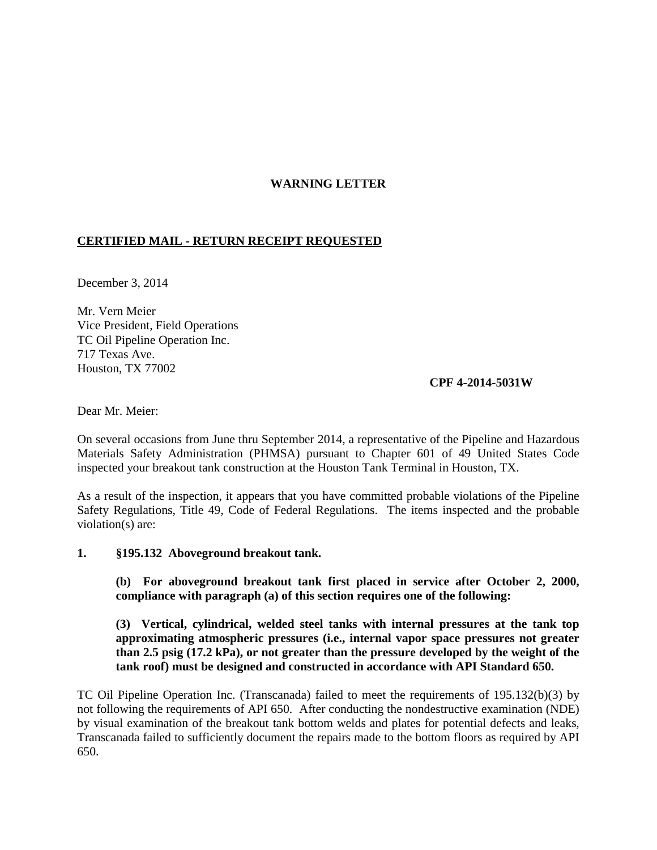## **WARNING LETTER**

## **CERTIFIED MAIL - RETURN RECEIPT REQUESTED**

December 3, 2014

Mr. Vern Meier Vice President, Field Operations TC Oil Pipeline Operation Inc. 717 Texas Ave. Houston, TX 77002

## **CPF 4-2014-5031W**

Dear Mr. Meier:

On several occasions from June thru September 2014, a representative of the Pipeline and Hazardous Materials Safety Administration (PHMSA) pursuant to Chapter 601 of 49 United States Code inspected your breakout tank construction at the Houston Tank Terminal in Houston, TX.

As a result of the inspection, it appears that you have committed probable violations of the Pipeline Safety Regulations, Title 49, Code of Federal Regulations. The items inspected and the probable violation(s) are:

**1. §195.132 Aboveground breakout tank.** 

**(b) For aboveground breakout tank first placed in service after October 2, 2000, compliance with paragraph (a) of this section requires one of the following:**

**(3) Vertical, cylindrical, welded steel tanks with internal pressures at the tank top approximating atmospheric pressures (i.e., internal vapor space pressures not greater than 2.5 psig (17.2 kPa), or not greater than the pressure developed by the weight of the tank roof) must be designed and constructed in accordance with API Standard 650.**

TC Oil Pipeline Operation Inc. (Transcanada) failed to meet the requirements of 195.132(b)(3) by not following the requirements of API 650. After conducting the nondestructive examination (NDE) by visual examination of the breakout tank bottom welds and plates for potential defects and leaks, Transcanada failed to sufficiently document the repairs made to the bottom floors as required by API 650.